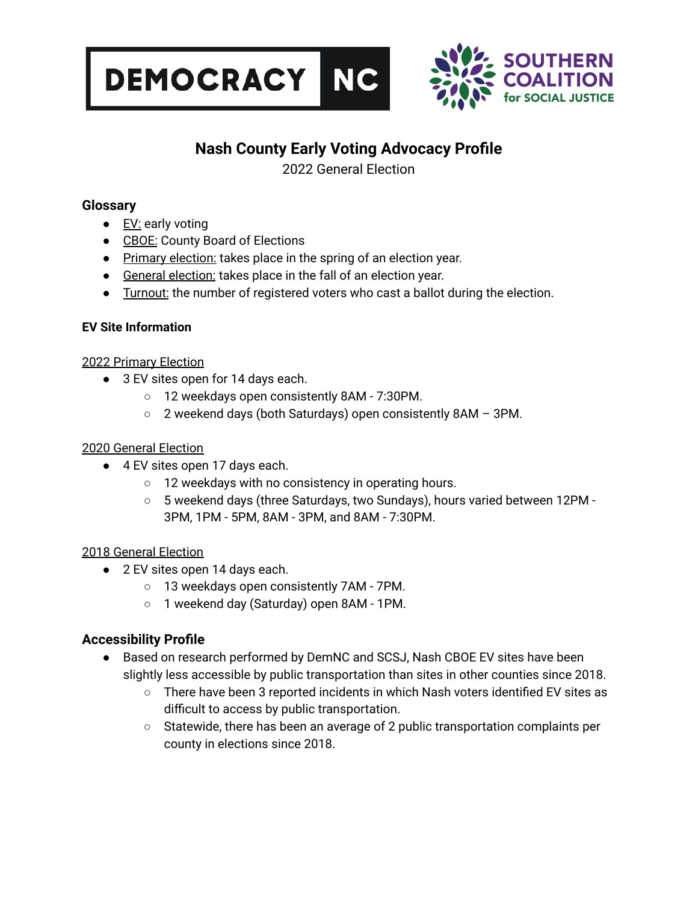



# **Nash County Early Voting Advocacy Profile**

2022 General Election

# **Glossary**

- EV: early voting
- CBOE: County Board of Elections
- Primary election: takes place in the spring of an election year.
- General election: takes place in the fall of an election year.
- Turnout: the number of registered voters who cast a ballot during the election.

## **EV Site Information**

## 2022 Primary Election

- 3 EV sites open for 14 days each.
	- 12 weekdays open consistently 8AM 7:30PM.
	- 2 weekend days (both Saturdays) open consistently 8AM 3PM.

## 2020 General Election

- 4 EV sites open 17 days each.
	- 12 weekdays with no consistency in operating hours.
	- 5 weekend days (three Saturdays, two Sundays), hours varied between 12PM 3PM, 1PM - 5PM, 8AM - 3PM, and 8AM - 7:30PM.

## 2018 General Election

- 2 EV sites open 14 days each.
	- 13 weekdays open consistently 7AM 7PM.
	- 1 weekend day (Saturday) open 8AM 1PM.

# **Accessibility Profile**

- Based on research performed by DemNC and SCSJ, Nash CBOE EV sites have been slightly less accessible by public transportation than sites in other counties since 2018.
	- There have been 3 reported incidents in which Nash voters identified EV sites as difficult to access by public transportation.
	- Statewide, there has been an average of 2 public transportation complaints per county in elections since 2018.